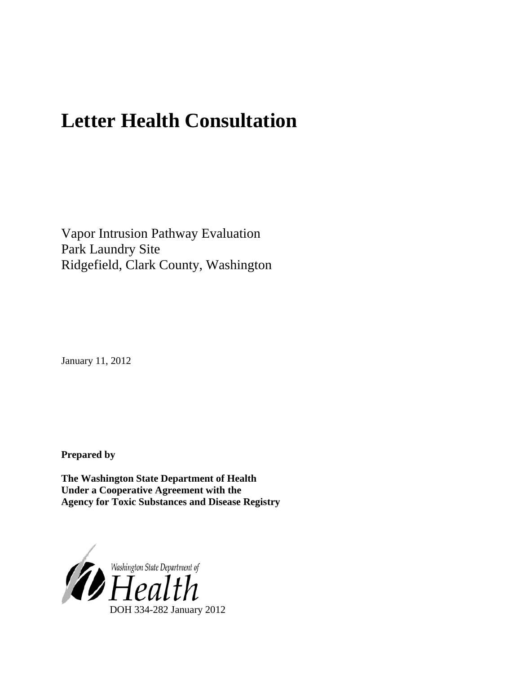# **Letter Health Consultation**

Vapor Intrusion Pathway Evaluation Park Laundry Site Ridgefield, Clark County, Washington

January 11, 2012

**Prepared by**

**The Washington State Department of Health Under a Cooperative Agreement with the Agency for Toxic Substances and Disease Registry**

<span id="page-0-0"></span>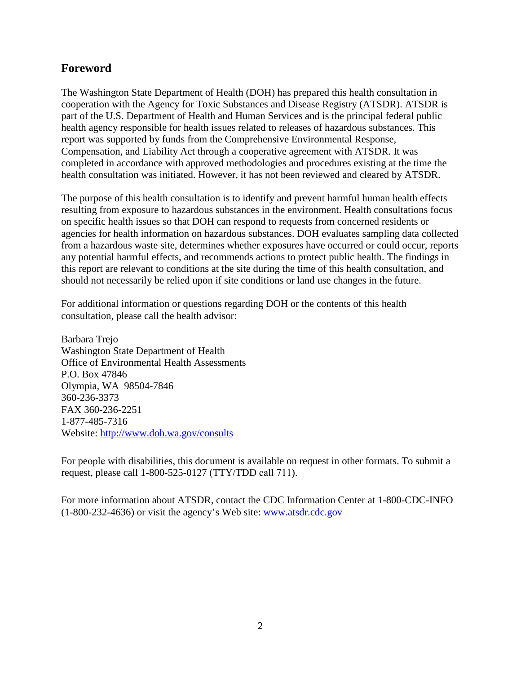# **Foreword**

The Washington State Department of Health (DOH) has prepared this health consultation in cooperation with the Agency for Toxic Substances and Disease Registry (ATSDR). ATSDR is part of the U.S. Department of Health and Human Services and is the principal federal public health agency responsible for health issues related to releases of hazardous substances. This report was supported by funds from the Comprehensive Environmental Response, Compensation, and Liability Act through a cooperative agreement with ATSDR. It was completed in accordance with approved methodologies and procedures existing at the time the health consultation was initiated. However, it has not been reviewed and cleared by ATSDR.

The purpose of this health consultation is to identify and prevent harmful human health effects resulting from exposure to hazardous substances in the environment. Health consultations focus on specific health issues so that DOH can respond to requests from concerned residents or agencies for health information on hazardous substances. DOH evaluates sampling data collected from a hazardous waste site, determines whether exposures have occurred or could occur, reports any potential harmful effects, and recommends actions to protect public health. The findings in this report are relevant to conditions at the site during the time of this health consultation, and should not necessarily be relied upon if site conditions or land use changes in the future.

For additional information or questions regarding DOH or the contents of this health consultation, please call the health advisor:

Barbara Trejo Washington State Department of Health Office of Environmental Health Assessments P.O. Box 47846 Olympia, WA 98504-7846 360-236-3373 FAX 360-236-2251 1-877-485-7316 Website: <http://www.doh.wa.gov/consults>

For people with disabilities, this document is available on request in other formats. To submit a request, please call 1-800-525-0127 (TTY/TDD call 711).

For more information about ATSDR, contact the CDC Information Center at 1-800-CDC-INFO (1-800-232-4636) or visit the agency's Web site: [www.atsdr.cdc.gov](http://www.atsdr.cdc.gov/)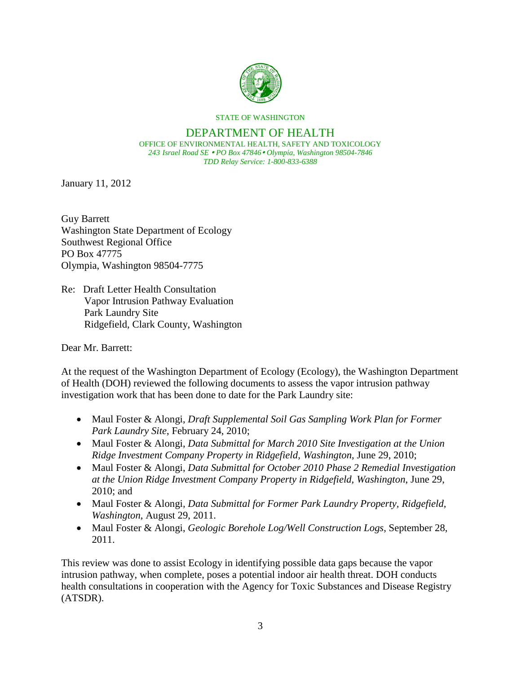

STATE OF WASHINGTON

#### DEPARTMENT OF HEALTH OFFICE OF ENVIRONMENTAL HEALTH, SAFETY AND TOXICOLOGY *243 Israel Road SE PO Box 47846 Olympia, Washington 98504-7846*

*TDD Relay Service: 1-800-833-6388*

January 11, 2012

Guy Barrett Washington State Department of Ecology Southwest Regional Office PO Box 47775 Olympia, Washington 98504-7775

Re: Draft Letter Health Consultation Vapor Intrusion Pathway Evaluation Park Laundry Site Ridgefield, Clark County, Washington

Dear Mr. Barrett:

At the request of the Washington Department of Ecology (Ecology), the Washington Department of Health (DOH) reviewed the following documents to assess the vapor intrusion pathway investigation work that has been done to date for the Park Laundry site:

- Maul Foster & Alongi, *Draft Supplemental Soil Gas Sampling Work Plan for Former Park Laundry Site*, February 24, 2010;
- Maul Foster & Alongi, *Data Submittal for March 2010 Site Investigation at the Union Ridge Investment Company Property in Ridgefield, Washington*, June 29, 2010;
- Maul Foster & Alongi, *Data Submittal for October 2010 Phase 2 Remedial Investigation at the Union Ridge Investment Company Property in Ridgefield, Washington*, June 29, 2010; and
- Maul Foster & Alongi*, Data Submittal for Former Park Laundry Property, Ridgefield, Washington*, August 29, 2011.
- Maul Foster & Alongi, *Geologic Borehole Log/Well Construction Logs*, September 28, 2011.

This review was done to assist Ecology in identifying possible data gaps because the vapor intrusion pathway, when complete, poses a potential indoor air health threat. DOH conducts health consultations in cooperation with the Agency for Toxic Substances and Disease Registry (ATSDR).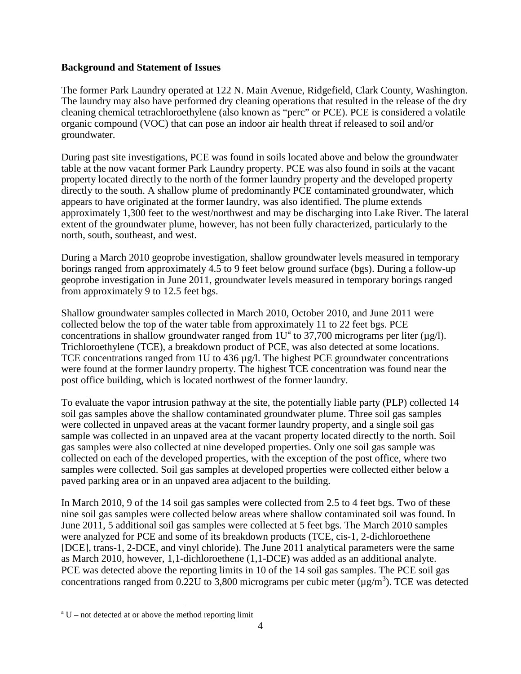#### **Background and Statement of Issues**

The former Park Laundry operated at 122 N. Main Avenue, Ridgefield, Clark County, Washington. The laundry may also have performed dry cleaning operations that resulted in the release of the dry cleaning chemical tetrachloroethylene (also known as "perc" or PCE). PCE is considered a volatile organic compound (VOC) that can pose an indoor air health threat if released to soil and/or groundwater.

During past site investigations, PCE was found in soils located above and below the groundwater table at the now vacant former Park Laundry property. PCE was also found in soils at the vacant property located directly to the north of the former laundry property and the developed property directly to the south. A shallow plume of predominantly PCE contaminated groundwater, which appears to have originated at the former laundry, was also identified. The plume extends approximately 1,300 feet to the west/northwest and may be discharging into Lake River. The lateral extent of the groundwater plume, however, has not been fully characterized, particularly to the north, south, southeast, and west.

During a March 2010 geoprobe investigation, shallow groundwater levels measured in temporary borings ranged from approximately 4.5 to 9 feet below ground surface (bgs). During a follow-up geoprobe investigation in June 2011, groundwater levels measured in temporary borings ranged from approximately 9 to 12.5 feet bgs.

Shallow groundwater samples collected in March 2010, October 2010, and June 2011 were collected below the top of the water table from approximately 11 to 22 feet bgs. PCE concentr[a](#page-0-0)tions in shallow groundwater ranged from  $1U^a$  to 37,700 micrograms per liter ( $\mu$ g/l). Trichloroethylene (TCE), a breakdown product of PCE, was also detected at some locations. TCE concentrations ranged from 1U to 436 µg/l. The highest PCE groundwater concentrations were found at the former laundry property. The highest TCE concentration was found near the post office building, which is located northwest of the former laundry.

To evaluate the vapor intrusion pathway at the site, the potentially liable party (PLP) collected 14 soil gas samples above the shallow contaminated groundwater plume. Three soil gas samples were collected in unpaved areas at the vacant former laundry property, and a single soil gas sample was collected in an unpaved area at the vacant property located directly to the north. Soil gas samples were also collected at nine developed properties. Only one soil gas sample was collected on each of the developed properties, with the exception of the post office, where two samples were collected. Soil gas samples at developed properties were collected either below a paved parking area or in an unpaved area adjacent to the building.

In March 2010, 9 of the 14 soil gas samples were collected from 2.5 to 4 feet bgs. Two of these nine soil gas samples were collected below areas where shallow contaminated soil was found. In June 2011, 5 additional soil gas samples were collected at 5 feet bgs. The March 2010 samples were analyzed for PCE and some of its breakdown products (TCE, cis-1, 2-dichloroethene [DCE], trans-1, 2-DCE, and vinyl chloride). The June 2011 analytical parameters were the same as March 2010, however, 1,1-dichloroethene (1,1-DCE) was added as an additional analyte. PCE was detected above the reporting limits in 10 of the 14 soil gas samples. The PCE soil gas concentrations ranged from 0.22U to 3,800 micrograms per cubic meter  $(\mu g/m^3)$ . TCE was detected

<span id="page-3-0"></span> $a<sup>a</sup> U$  – not detected at or above the method reporting limit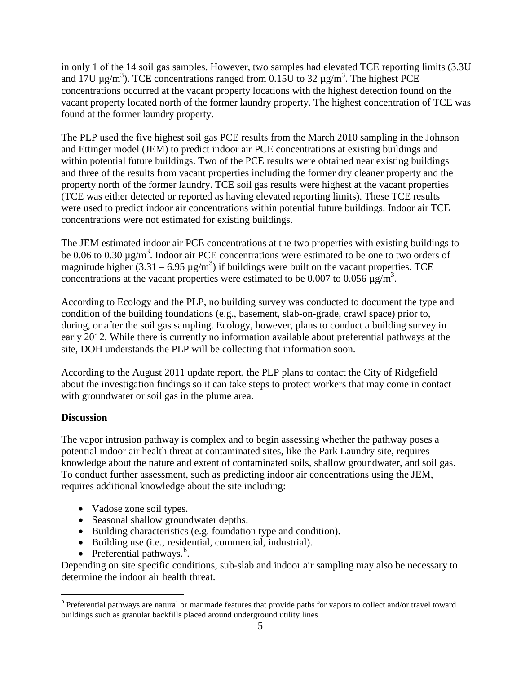in only 1 of the 14 soil gas samples. However, two samples had elevated TCE reporting limits (3.3U and 17U  $\mu$ g/m<sup>3</sup>). TCE concentrations ranged from 0.15U to 32  $\mu$ g/m<sup>3</sup>. The highest PCE concentrations occurred at the vacant property locations with the highest detection found on the vacant property located north of the former laundry property. The highest concentration of TCE was found at the former laundry property.

The PLP used the five highest soil gas PCE results from the March 2010 sampling in the Johnson and Ettinger model (JEM) to predict indoor air PCE concentrations at existing buildings and within potential future buildings. Two of the PCE results were obtained near existing buildings and three of the results from vacant properties including the former dry cleaner property and the property north of the former laundry. TCE soil gas results were highest at the vacant properties (TCE was either detected or reported as having elevated reporting limits). These TCE results were used to predict indoor air concentrations within potential future buildings. Indoor air TCE concentrations were not estimated for existing buildings.

The JEM estimated indoor air PCE concentrations at the two properties with existing buildings to be 0.06 to 0.30  $\mu$ g/m<sup>3</sup>. Indoor air PCE concentrations were estimated to be one to two orders of magnitude higher  $(3.31 - 6.95 \,\mu\text{g/m}^3)$  if buildings were built on the vacant properties. TCE concentrations at the vacant properties were estimated to be 0.007 to 0.056  $\mu$ g/m<sup>3</sup>.

According to Ecology and the PLP, no building survey was conducted to document the type and condition of the building foundations (e.g., basement, slab-on-grade, crawl space) prior to, during, or after the soil gas sampling. Ecology, however, plans to conduct a building survey in early 2012. While there is currently no information available about preferential pathways at the site, DOH understands the PLP will be collecting that information soon.

According to the August 2011 update report, the PLP plans to contact the City of Ridgefield about the investigation findings so it can take steps to protect workers that may come in contact with groundwater or soil gas in the plume area.

# **Discussion**

The vapor intrusion pathway is complex and to begin assessing whether the pathway poses a potential indoor air health threat at contaminated sites, like the Park Laundry site, requires knowledge about the nature and extent of contaminated soils, shallow groundwater, and soil gas. To conduct further assessment, such as predicting indoor air concentrations using the JEM, requires additional knowledge about the site including:

- Vadose zone soil types.
- Seasonal shallow groundwater depths.
- Building characteristics (e.g. foundation type and condition).
- Building use (i.e., residential, commercial, industrial).
- Preferential pathways.<sup>[b](#page-3-0)</sup>.

<span id="page-4-0"></span>Depending on site specific conditions, sub-slab and indoor air sampling may also be necessary to determine the indoor air health threat.

b Preferential pathways are natural or manmade features that provide paths for vapors to collect and/or travel toward buildings such as granular backfills placed around underground utility lines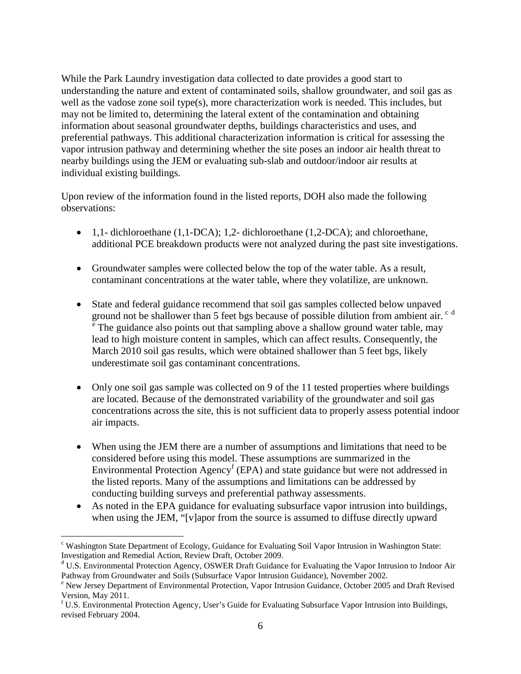While the Park Laundry investigation data collected to date provides a good start to understanding the nature and extent of contaminated soils, shallow groundwater, and soil gas as well as the vadose zone soil type(s), more characterization work is needed. This includes, but may not be limited to, determining the lateral extent of the contamination and obtaining information about seasonal groundwater depths, buildings characteristics and uses, and preferential pathways. This additional characterization information is critical for assessing the vapor intrusion pathway and determining whether the site poses an indoor air health threat to nearby buildings using the JEM or evaluating sub-slab and outdoor/indoor air results at individual existing buildings.

Upon review of the information found in the listed reports, DOH also made the following observations:

- 1,1- dichloroethane (1,1-DCA); 1,2- dichloroethane (1,2-DCA); and chloroethane, additional PCE breakdown products were not analyzed during the past site investigations.
- Groundwater samples were collected below the top of the water table. As a result, contaminant concentrations at the water table, where they volatilize, are unknown.
- State and federal guidance recommend that soil gas samples collected below unpaved ground not be shallower than 5 feet bgs be[c](#page-4-0)ause of possible [d](#page-5-0)ilution from ambient air. <sup>c d</sup> <sup>[e](#page-5-1)</sup> The guidance also points out that sampling above a shallow ground water table, may lead to high moisture content in samples, which can affect results. Consequently, the March 2010 soil gas results, which were obtained shallower than 5 feet bgs, likely underestimate soil gas contaminant concentrations.
- Only one soil gas sample was collected on 9 of the 11 tested properties where buildings are located. Because of the demonstrated variability of the groundwater and soil gas concentrations across the site, this is not sufficient data to properly assess potential indoor air impacts.
- When using the JEM there are a number of assumptions and limitations that need to be considered before using this model. These assumptions are summarized in the Environmental Protection Agency<sup>[f](#page-5-2)</sup> (EPA) and state guidance but were not addressed in the listed reports. Many of the assumptions and limitations can be addressed by conducting building surveys and preferential pathway assessments.
- As noted in the EPA guidance for evaluating subsurface vapor intrusion into buildings, when using the JEM, "[v]apor from the source is assumed to diffuse directly upward

c Washington State Department of Ecology, Guidance for Evaluating Soil Vapor Intrusion in Washington State: Investigation and Remedial Action, Review Draft, October 2009.

<span id="page-5-0"></span><sup>d</sup> U.S. Environmental Protection Agency, OSWER Draft Guidance for Evaluating the Vapor Intrusion to Indoor Air Pathway from Groundwater and Soils (Subsurface Vapor Intrusion Guidance), November 2002.<br>
<sup>e</sup> New Jersey Department of Environmental Protection, Vapor Intrusion Guidance, October 2005 and Draft Revised

<span id="page-5-1"></span>Version, May 2011.

<span id="page-5-3"></span><span id="page-5-2"></span><sup>f</sup> U.S. Environmental Protection Agency, User's Guide for Evaluating Subsurface Vapor Intrusion into Buildings, revised February 2004.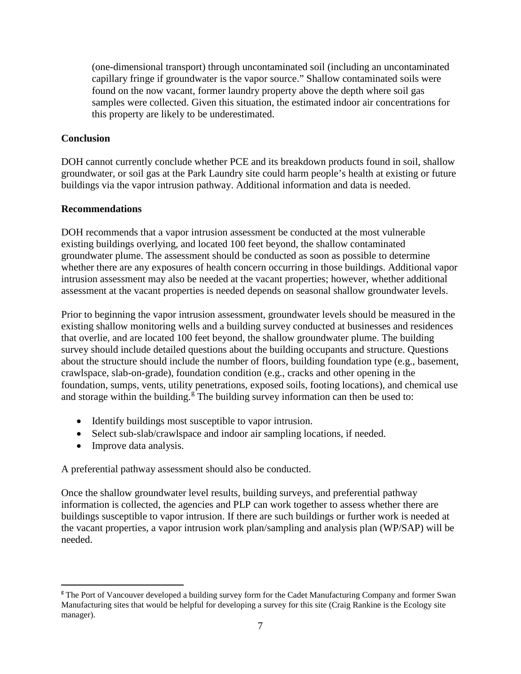(one-dimensional transport) through uncontaminated soil (including an uncontaminated capillary fringe if groundwater is the vapor source." Shallow contaminated soils were found on the now vacant, former laundry property above the depth where soil gas samples were collected. Given this situation, the estimated indoor air concentrations for this property are likely to be underestimated.

# **Conclusion**

DOH cannot currently conclude whether PCE and its breakdown products found in soil, shallow groundwater, or soil gas at the Park Laundry site could harm people's health at existing or future buildings via the vapor intrusion pathway. Additional information and data is needed.

#### **Recommendations**

DOH recommends that a vapor intrusion assessment be conducted at the most vulnerable existing buildings overlying, and located 100 feet beyond, the shallow contaminated groundwater plume. The assessment should be conducted as soon as possible to determine whether there are any exposures of health concern occurring in those buildings. Additional vapor intrusion assessment may also be needed at the vacant properties; however, whether additional assessment at the vacant properties is needed depends on seasonal shallow groundwater levels.

Prior to beginning the vapor intrusion assessment, groundwater levels should be measured in the existing shallow monitoring wells and a building survey conducted at businesses and residences that overlie, and are located 100 feet beyond, the shallow groundwater plume. The building survey should include detailed questions about the building occupants and structure. Questions about the structure should include the number of floors, building foundation type (e.g., basement, crawlspace, slab-on-grade), foundation condition (e.g., cracks and other opening in the foundation, sumps, vents, utility penetrations, exposed soils, footing locations), and chemical use and stora[g](#page-5-3)e within the building.<sup>g</sup> The building survey information can then be used to:

- Identify buildings most susceptible to vapor intrusion.
- Select sub-slab/crawlspace and indoor air sampling locations, if needed.
- Improve data analysis.

A preferential pathway assessment should also be conducted.

Once the shallow groundwater level results, building surveys, and preferential pathway information is collected, the agencies and PLP can work together to assess whether there are buildings susceptible to vapor intrusion. If there are such buildings or further work is needed at the vacant properties, a vapor intrusion work plan/sampling and analysis plan (WP/SAP) will be needed.

<sup>&</sup>lt;sup>g</sup> The Port of Vancouver developed a building survey form for the Cadet Manufacturing Company and former Swan Manufacturing sites that would be helpful for developing a survey for this site (Craig Rankine is the Ecology site manager).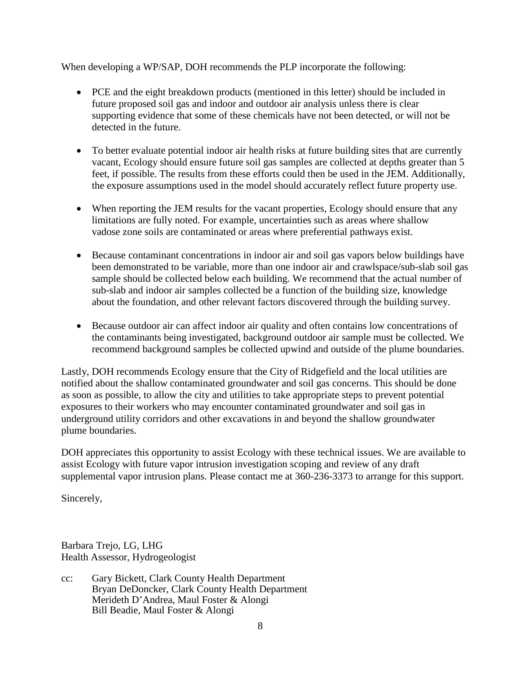When developing a WP/SAP, DOH recommends the PLP incorporate the following:

- PCE and the eight breakdown products (mentioned in this letter) should be included in future proposed soil gas and indoor and outdoor air analysis unless there is clear supporting evidence that some of these chemicals have not been detected, or will not be detected in the future.
- To better evaluate potential indoor air health risks at future building sites that are currently vacant, Ecology should ensure future soil gas samples are collected at depths greater than 5 feet, if possible. The results from these efforts could then be used in the JEM. Additionally, the exposure assumptions used in the model should accurately reflect future property use.
- When reporting the JEM results for the vacant properties, Ecology should ensure that any limitations are fully noted. For example, uncertainties such as areas where shallow vadose zone soils are contaminated or areas where preferential pathways exist.
- Because contaminant concentrations in indoor air and soil gas vapors below buildings have been demonstrated to be variable, more than one indoor air and crawlspace/sub-slab soil gas sample should be collected below each building. We recommend that the actual number of sub-slab and indoor air samples collected be a function of the building size, knowledge about the foundation, and other relevant factors discovered through the building survey.
- Because outdoor air can affect indoor air quality and often contains low concentrations of the contaminants being investigated, background outdoor air sample must be collected. We recommend background samples be collected upwind and outside of the plume boundaries.

Lastly, DOH recommends Ecology ensure that the City of Ridgefield and the local utilities are notified about the shallow contaminated groundwater and soil gas concerns. This should be done as soon as possible, to allow the city and utilities to take appropriate steps to prevent potential exposures to their workers who may encounter contaminated groundwater and soil gas in underground utility corridors and other excavations in and beyond the shallow groundwater plume boundaries.

DOH appreciates this opportunity to assist Ecology with these technical issues. We are available to assist Ecology with future vapor intrusion investigation scoping and review of any draft supplemental vapor intrusion plans. Please contact me at 360-236-3373 to arrange for this support.

Sincerely,

Barbara Trejo, LG, LHG Health Assessor, Hydrogeologist

cc: Gary Bickett, Clark County Health Department Bryan DeDoncker, Clark County Health Department Merideth D'Andrea, Maul Foster & Alongi Bill Beadie, Maul Foster & Alongi